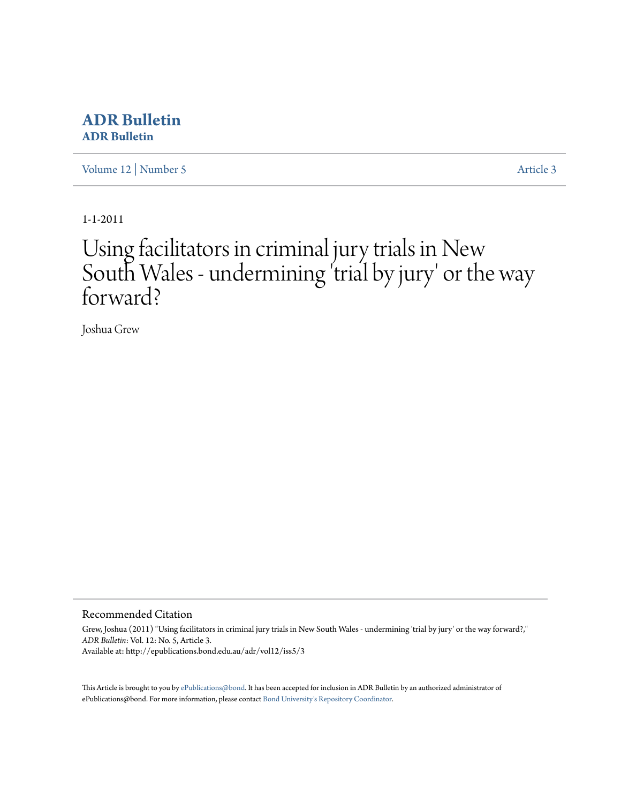# **[ADR Bulletin](http://epublications.bond.edu.au/adr) ADR Bulletin**

[Volume 12](http://epublications.bond.edu.au/adr/vol12) | [Number 5](http://epublications.bond.edu.au/adr/vol12/iss5) [Article 3](http://epublications.bond.edu.au/adr/vol12/iss5/3)

1-1-2011

# Using facilitators in criminal jury trials in New South Wales - undermining 'trial by jury' or the way forward?

Joshua Grew

#### Recommended Citation

Grew, Joshua (2011) "Using facilitators in criminal jury trials in New South Wales - undermining 'trial by jury' or the way forward?," *ADR Bulletin*: Vol. 12: No. 5, Article 3. Available at: http://epublications.bond.edu.au/adr/vol12/iss5/3

This Article is brought to you by [ePublications@bond](http://epublications.bond.edu.au). It has been accepted for inclusion in ADR Bulletin by an authorized administrator of ePublications@bond. For more information, please contact [Bond University's Repository Coordinator](mailto:acass@bond.edu.au).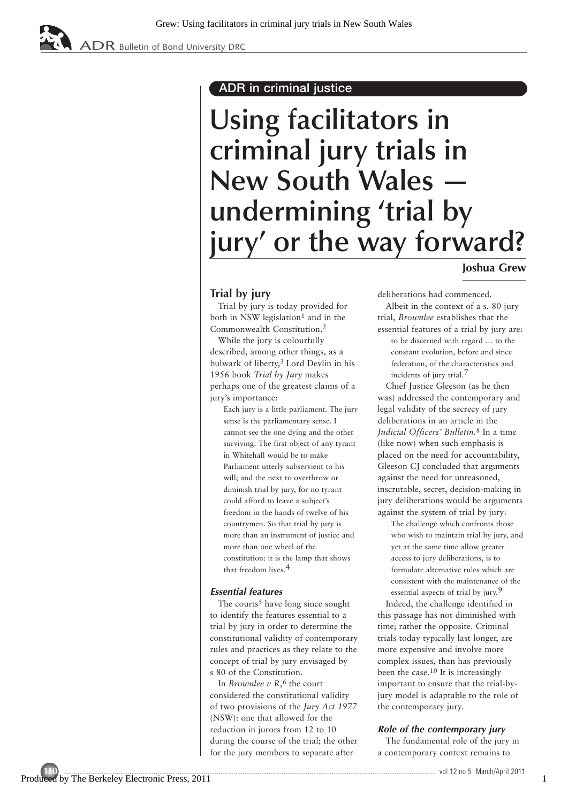# **ADR in criminal justice**

# **Using facilitators in criminal jury trials in New South Wales undermining 'trial by jury' or the way forward?**

## **Joshua Grew**

### **Trial by jury**

**Trial by jury is today provided for both in NSW legislation1 and in the Commonwealth Constitution.2**

**While the jury is colourfully described, among other things, as a bulwark of liberty,3 Lord Devlin in his 1956 book** *Trial by Jury* **makes perhaps one of the greatest claims of a jury's importance:**

**Each jury is a little parliament. The jury sense is the parliamentary sense. I cannot see the one dying and the other surviving. The first object of any tyrant in Whitehall would be to make Parliament utterly subservient to his will; and the next to overthrow or diminish trial by jury, for no tyrant could afford to leave a subject's freedom in the hands of twelve of his countrymen. So that trial by jury is more than an instrument of justice and more than one wheel of the constitution: it is the lamp that shows that freedom lives.4**

#### **Essential features**

**The courts5 have long since sought to identify the features essential to a trial by jury in order to determine the constitutional validity of contemporary rules and practices as they relate to the concept of trial by jury envisaged by s 80 of the Constitution.** 

**In** *Brownlee v R***,6 the court considered the constitutional validity of two provisions of the** *Jury Act 1977* **(NSW): one that allowed for the reduction in jurors from 12 to 10 during the course of the trial; the other for the jury members to separate after**

**deliberations had commenced.** 

**Albeit in the context of a s. 80 jury trial,** *Brownlee* **establishes that the essential features of a trial by jury are: to be discerned with regard … to the constant evolution, before and since federation, of the characteristics and incidents of jury trial.7**

**Chief Justice Gleeson (as he then was) addressed the contemporary and legal validity of the secrecy of jury deliberations in an article in the** *Judicial Officers' Bulletin.***8 In a time (like now) when such emphasis is placed on the need for accountability, Gleeson CJ concluded that arguments against the need for unreasoned, inscrutable, secret, decision-making in jury deliberations would be arguments against the system of trial by jury:**

**The challenge which confronts those who wish to maintain trial by jury, and yet at the same time allow greater access to jury deliberations, is to formulate alternative rules which are consistent with the maintenance of the essential aspects of trial by jury.9**

**Indeed, the challenge identified in this passage has not diminished with time; rather the opposite. Criminal trials today typically last longer, are more expensive and involve more complex issues, than has previously been the case.10 It is increasingly important to ensure that the trial-byjury model is adaptable to the role of the contemporary jury.**

#### **Role of the contemporary jury**

**The fundamental role of the jury in a contemporary context remains to**

1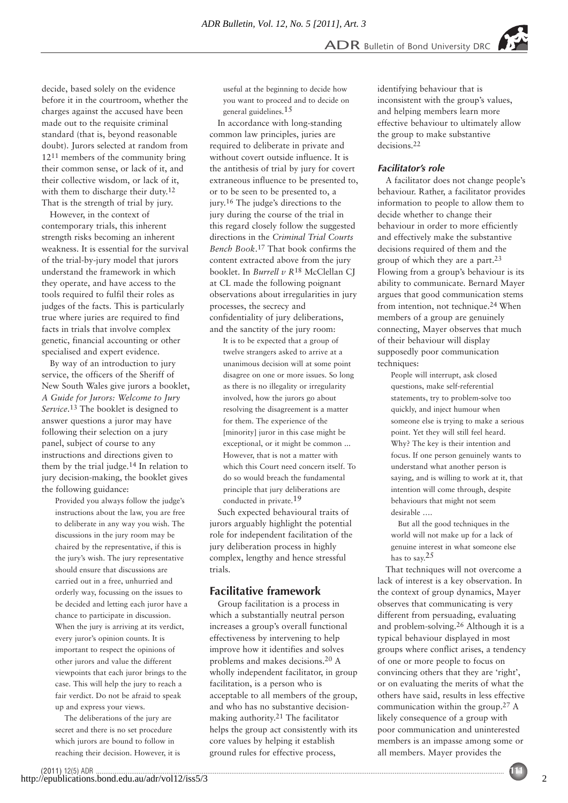**decide, based solely on the evidence before it in the courtroom, whether the charges against the accused have been made out to the requisite criminal standard (that is, beyond reasonable doubt). Jurors selected at random from 1211 members of the community bring their common sense, or lack of it, and their collective wisdom, or lack of it, with them to discharge their duty.12 That is the strength of trial by jury.** 

**However, in the context of contemporary trials, this inherent strength risks becoming an inherent weakness. It is essential for the survival of the trial-by-jury model that jurors understand the framework in which they operate, and have access to the tools required to fulfil their roles as judges of the facts. This is particularly true where juries are required to find facts in trials that involve complex genetic, financial accounting or other specialised and expert evidence.**

**By way of an introduction to jury service, the officers of the Sheriff of New South Wales give jurors a booklet,** *A Guide for Jurors: Welcome to Jury Service***.13 The booklet is designed to answer questions a juror may have following their selection on a jury panel, subject of course to any instructions and directions given to them by the trial judge.14 In relation to jury decision-making, the booklet gives the following guidance:**

**Provided you always follow the judge's instructions about the law, you are free to deliberate in any way you wish. The discussions in the jury room may be chaired by the representative, if this is the jury's wish. The jury representative should ensure that discussions are carried out in a free, unhurried and orderly way, focussing on the issues to be decided and letting each juror have a chance to participate in discussion. When the jury is arriving at its verdict, every juror's opinion counts. It is important to respect the opinions of other jurors and value the different viewpoints that each juror brings to the case. This will help the jury to reach a fair verdict. Do not be afraid to speak up and express your views.**

**The deliberations of the jury are secret and there is no set procedure which jurors are bound to follow in reaching their decision. However, it is**

(2011) 12(5) ADR ............................................................................................................................................................................................................................ **111** http://epublications.bond.edu.au/adr/vol12/iss5/3

**useful at the beginning to decide how you want to proceed and to decide on general guidelines.15**

**In accordance with long-standing common law principles, juries are required to deliberate in private and without covert outside influence. It is the antithesis of trial by jury for covert extraneous influence to be presented to, or to be seen to be presented to, a jury.16 The judge's directions to the jury during the course of the trial in this regard closely follow the suggested directions in the** *Criminal Trial Courts Bench Book***.17 That book confirms the content extracted above from the jury booklet. In** *Burrell v R***18 McClellan CJ at CL made the following poignant observations about irregularities in jury processes, the secrecy and confidentiality of jury deliberations, and the sanctity of the jury room:** 

**It is to be expected that a group of twelve strangers asked to arrive at a unanimous decision will at some point disagree on one or more issues. So long as there is no illegality or irregularity involved, how the jurors go about resolving the disagreement is a matter for them. The experience of the [minority] juror in this case might be exceptional, or it might be common ... However, that is not a matter with which this Court need concern itself. To do so would breach the fundamental principle that jury deliberations are conducted in private.19**

**Such expected behavioural traits of jurors arguably highlight the potential role for independent facilitation of the jury deliberation process in highly complex, lengthy and hence stressful trials.** 

#### **Facilitative framework**

**Group facilitation is a process in which a substantially neutral person increases a group's overall functional effectiveness by intervening to help improve how it identifies and solves problems and makes decisions.20 A wholly independent facilitator, in group facilitation, is a person who is acceptable to all members of the group, and who has no substantive decisionmaking authority.21 The facilitator helps the group act consistently with its core values by helping it establish ground rules for effective process,**

**identifying behaviour that is inconsistent with the group's values, and helping members learn more effective behaviour to ultimately allow the group to make substantive decisions.22**

#### **Facilitator's role**

**A facilitator does not change people's behaviour. Rather, a facilitator provides information to people to allow them to decide whether to change their behaviour in order to more efficiently and effectively make the substantive decisions required of them and the group of which they are a part.23 Flowing from a group's behaviour is its ability to communicate. Bernard Mayer argues that good communication stems from intention, not technique.24 When members of a group are genuinely connecting, Mayer observes that much of their behaviour will display supposedly poor communication techniques:**

**People will interrupt, ask closed questions, make self-referential statements, try to problem-solve too quickly, and inject humour when someone else is trying to make a serious point. Yet they will still feel heard. Why? The key is their intention and focus. If one person genuinely wants to understand what another person is saying, and is willing to work at it, that intention will come through, despite behaviours that might not seem desirable ….**

**But all the good techniques in the world will not make up for a lack of genuine interest in what someone else has to say.25**

**That techniques will not overcome a lack of interest is a key observation. In the context of group dynamics, Mayer observes that communicating is very different from persuading, evaluating and problem-solving.26 Although it is a typical behaviour displayed in most groups where conflict arises, a tendency of one or more people to focus on convincing others that they are 'right', or on evaluating the merits of what the others have said, results in less effective communication within the group.27 A likely consequence of a group with poor communication and uninterested members is an impasse among some or all members. Mayer provides the**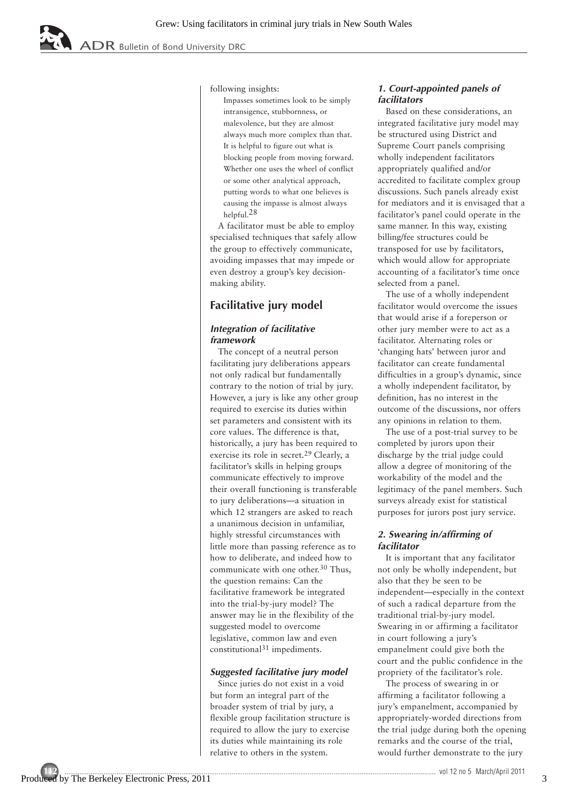$\overline{ADR}$  Bulletin of Bond University DRC

**following insights:**

**Impasses sometimes look to be simply intransigence, stubbornness, or malevolence, but they are almost always much more complex than that. It is helpful to figure out what is blocking people from moving forward. Whether one uses the wheel of conflict or some other analytical approach, putting words to what one believes is causing the impasse is almost always helpful.28**

**A facilitator must be able to employ specialised techniques that safely allow the group to effectively communicate, avoiding impasses that may impede or even destroy a group's key decisionmaking ability.** 

# **Facilitative jury model**

#### **Integration of facilitative framework**

**The concept of a neutral person facilitating jury deliberations appears not only radical but fundamentally contrary to the notion of trial by jury. However, a jury is like any other group required to exercise its duties within set parameters and consistent with its core values. The difference is that, historically, a jury has been required to exercise its role in secret.29 Clearly, a facilitator's skills in helping groups communicate effectively to improve their overall functioning is transferable to jury deliberations—a situation in which 12 strangers are asked to reach a unanimous decision in unfamiliar, highly stressful circumstances with little more than passing reference as to how to deliberate, and indeed how to communicate with one other.30 Thus, the question remains: Can the facilitative framework be integrated into the trial-by-jury model? The answer may lie in the flexibility of the suggested model to overcome legislative, common law and even constitutional31 impediments.** 

#### **Suggested facilitative jury model**

**Since juries do not exist in a void but form an integral part of the broader system of trial by jury, a flexible group facilitation structure is required to allow the jury to exercise its duties while maintaining its role relative to others in the system.** 

#### **1. Court-appointed panels of facilitators**

**Based on these considerations, an integrated facilitative jury model may be structured using District and Supreme Court panels comprising wholly independent facilitators appropriately qualified and/or accredited to facilitate complex group discussions. Such panels already exist for mediators and it is envisaged that a facilitator's panel could operate in the same manner. In this way, existing billing/fee structures could be transposed for use by facilitators, which would allow for appropriate accounting of a facilitator's time once selected from a panel.** 

**The use of a wholly independent facilitator would overcome the issues that would arise if a foreperson or other jury member were to act as a facilitator. Alternating roles or 'changing hats' between juror and facilitator can create fundamental difficulties in a group's dynamic, since a wholly independent facilitator, by definition, has no interest in the outcome of the discussions, nor offers any opinions in relation to them.**

**The use of a post-trial survey to be completed by jurors upon their discharge by the trial judge could allow a degree of monitoring of the workability of the model and the legitimacy of the panel members. Such surveys already exist for statistical purposes for jurors post jury service.** 

#### **2. Swearing in/affirming of facilitator**

**It is important that any facilitator not only be wholly independent, but also that they be seen to be independent—especially in the context of such a radical departure from the traditional trial-by-jury model. Swearing in or affirming a facilitator in court following a jury's empanelment could give both the court and the public confidence in the propriety of the facilitator's role.** 

**The process of swearing in or affirming a facilitator following a jury's empanelment, accompanied by appropriately-worded directions from the trial judge during both the opening remarks and the course of the trial, would further demonstrate to the jury**

3